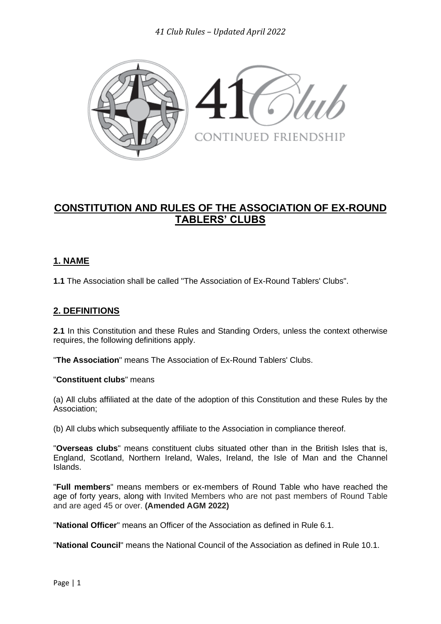

# **CONSTITUTION AND RULES OF THE ASSOCIATION OF EX-ROUND TABLERS' CLUBS**

# **1. NAME**

**1.1** The Association shall be called "The Association of Ex-Round Tablers' Clubs".

## **2. DEFINITIONS**

**2.1** In this Constitution and these Rules and Standing Orders, unless the context otherwise requires, the following definitions apply.

"**The Association**" means The Association of Ex-Round Tablers' Clubs.

"**Constituent clubs**" means

(a) All clubs affiliated at the date of the adoption of this Constitution and these Rules by the Association;

(b) All clubs which subsequently affiliate to the Association in compliance thereof.

"**Overseas clubs**" means constituent clubs situated other than in the British Isles that is, England, Scotland, Northern Ireland, Wales, Ireland, the Isle of Man and the Channel Islands.

"**Full members**" means members or ex-members of Round Table who have reached the age of forty years, along with Invited Members who are not past members of Round Table and are aged 45 or over. **(Amended AGM 2022)**

"**National Officer**" means an Officer of the Association as defined in Rule 6.1.

"**National Council**" means the National Council of the Association as defined in Rule 10.1.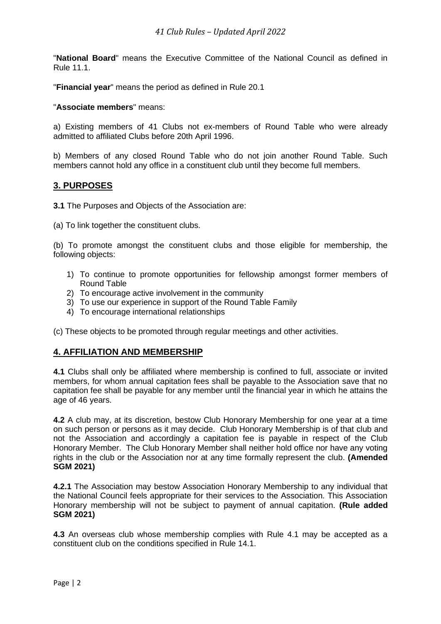"**National Board**" means the Executive Committee of the National Council as defined in Rule 11.1.

"**Financial year**" means the period as defined in Rule 20.1

"**Associate members**" means:

a) Existing members of 41 Clubs not ex-members of Round Table who were already admitted to affiliated Clubs before 20th April 1996.

b) Members of any closed Round Table who do not join another Round Table. Such members cannot hold any office in a constituent club until they become full members.

#### **3. PURPOSES**

**3.1** The Purposes and Objects of the Association are:

(a) To link together the constituent clubs.

(b) To promote amongst the constituent clubs and those eligible for membership, the following objects:

- 1) To continue to promote opportunities for fellowship amongst former members of Round Table
- 2) To encourage active involvement in the community
- 3) To use our experience in support of the Round Table Family
- 4) To encourage international relationships

(c) These objects to be promoted through regular meetings and other activities.

#### **4. AFFILIATION AND MEMBERSHIP**

**4.1** Clubs shall only be affiliated where membership is confined to full, associate or invited members, for whom annual capitation fees shall be payable to the Association save that no capitation fee shall be payable for any member until the financial year in which he attains the age of 46 years.

**4.2** A club may, at its discretion, bestow Club Honorary Membership for one year at a time on such person or persons as it may decide. Club Honorary Membership is of that club and not the Association and accordingly a capitation fee is payable in respect of the Club Honorary Member. The Club Honorary Member shall neither hold office nor have any voting rights in the club or the Association nor at any time formally represent the club. **(Amended SGM 2021)**

**4.2.1** The Association may bestow Association Honorary Membership to any individual that the National Council feels appropriate for their services to the Association. This Association Honorary membership will not be subject to payment of annual capitation. **(Rule added SGM 2021)**

**4.3** An overseas club whose membership complies with Rule 4.1 may be accepted as a constituent club on the conditions specified in Rule 14.1.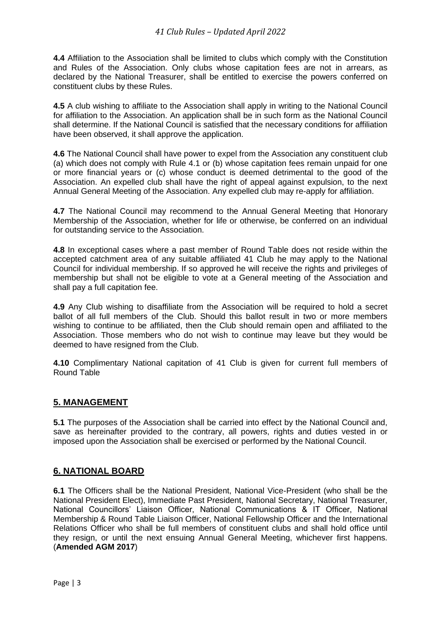**4.4** Affiliation to the Association shall be limited to clubs which comply with the Constitution and Rules of the Association. Only clubs whose capitation fees are not in arrears, as declared by the National Treasurer, shall be entitled to exercise the powers conferred on constituent clubs by these Rules.

**4.5** A club wishing to affiliate to the Association shall apply in writing to the National Council for affiliation to the Association. An application shall be in such form as the National Council shall determine. If the National Council is satisfied that the necessary conditions for affiliation have been observed, it shall approve the application.

**4.6** The National Council shall have power to expel from the Association any constituent club (a) which does not comply with Rule 4.1 or (b) whose capitation fees remain unpaid for one or more financial years or (c) whose conduct is deemed detrimental to the good of the Association. An expelled club shall have the right of appeal against expulsion, to the next Annual General Meeting of the Association. Any expelled club may re-apply for affiliation.

**4.7** The National Council may recommend to the Annual General Meeting that Honorary Membership of the Association, whether for life or otherwise, be conferred on an individual for outstanding service to the Association.

**4.8** In exceptional cases where a past member of Round Table does not reside within the accepted catchment area of any suitable affiliated 41 Club he may apply to the National Council for individual membership. If so approved he will receive the rights and privileges of membership but shall not be eligible to vote at a General meeting of the Association and shall pay a full capitation fee.

**4.9** Any Club wishing to disaffiliate from the Association will be required to hold a secret ballot of all full members of the Club. Should this ballot result in two or more members wishing to continue to be affiliated, then the Club should remain open and affiliated to the Association. Those members who do not wish to continue may leave but they would be deemed to have resigned from the Club.

**4.10** Complimentary National capitation of 41 Club is given for current full members of Round Table

## **5. MANAGEMENT**

**5.1** The purposes of the Association shall be carried into effect by the National Council and, save as hereinafter provided to the contrary, all powers, rights and duties vested in or imposed upon the Association shall be exercised or performed by the National Council.

## **6. NATIONAL BOARD**

**6.1** The Officers shall be the National President, National Vice-President (who shall be the National President Elect), Immediate Past President, National Secretary, National Treasurer, National Councillors' Liaison Officer, National Communications & IT Officer, National Membership & Round Table Liaison Officer, National Fellowship Officer and the International Relations Officer who shall be full members of constituent clubs and shall hold office until they resign, or until the next ensuing Annual General Meeting, whichever first happens. (**Amended AGM 2017**)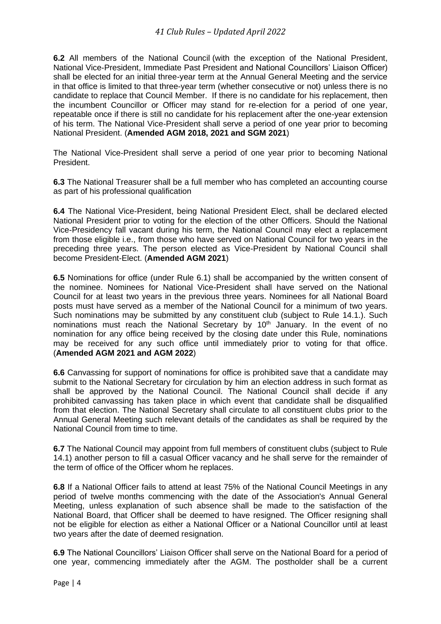**6.2** All members of the National Council (with the exception of the National President, National Vice-President, Immediate Past President and National Councillors' Liaison Officer) shall be elected for an initial three-year term at the Annual General Meeting and the service in that office is limited to that three-year term (whether consecutive or not) unless there is no candidate to replace that Council Member. If there is no candidate for his replacement, then the incumbent Councillor or Officer may stand for re-election for a period of one year, repeatable once if there is still no candidate for his replacement after the one-year extension of his term. The National Vice-President shall serve a period of one year prior to becoming National President. (**Amended AGM 2018, 2021 and SGM 2021**)

The National Vice-President shall serve a period of one year prior to becoming National President.

**6.3** The National Treasurer shall be a full member who has completed an accounting course as part of his professional qualification

**6.4** The National Vice-President, being National President Elect, shall be declared elected National President prior to voting for the election of the other Officers. Should the National Vice-Presidency fall vacant during his term, the National Council may elect a replacement from those eligible i.e., from those who have served on National Council for two years in the preceding three years. The person elected as Vice-President by National Council shall become President-Elect. (**Amended AGM 2021**)

**6.5** Nominations for office (under Rule 6.1) shall be accompanied by the written consent of the nominee. Nominees for National Vice-President shall have served on the National Council for at least two years in the previous three years. Nominees for all National Board posts must have served as a member of the National Council for a minimum of two years. Such nominations may be submitted by any constituent club (subject to Rule 14.1.). Such nominations must reach the National Secretary by 10<sup>th</sup> January. In the event of no nomination for any office being received by the closing date under this Rule, nominations may be received for any such office until immediately prior to voting for that office. (**Amended AGM 2021 and AGM 2022**)

**6.6** Canvassing for support of nominations for office is prohibited save that a candidate may submit to the National Secretary for circulation by him an election address in such format as shall be approved by the National Council. The National Council shall decide if any prohibited canvassing has taken place in which event that candidate shall be disqualified from that election. The National Secretary shall circulate to all constituent clubs prior to the Annual General Meeting such relevant details of the candidates as shall be required by the National Council from time to time.

**6.7** The National Council may appoint from full members of constituent clubs (subject to Rule 14.1) another person to fill a casual Officer vacancy and he shall serve for the remainder of the term of office of the Officer whom he replaces.

**6.8** If a National Officer fails to attend at least 75% of the National Council Meetings in any period of twelve months commencing with the date of the Association's Annual General Meeting, unless explanation of such absence shall be made to the satisfaction of the National Board, that Officer shall be deemed to have resigned. The Officer resigning shall not be eligible for election as either a National Officer or a National Councillor until at least two years after the date of deemed resignation.

**6.9** The National Councillors' Liaison Officer shall serve on the National Board for a period of one year, commencing immediately after the AGM. The postholder shall be a current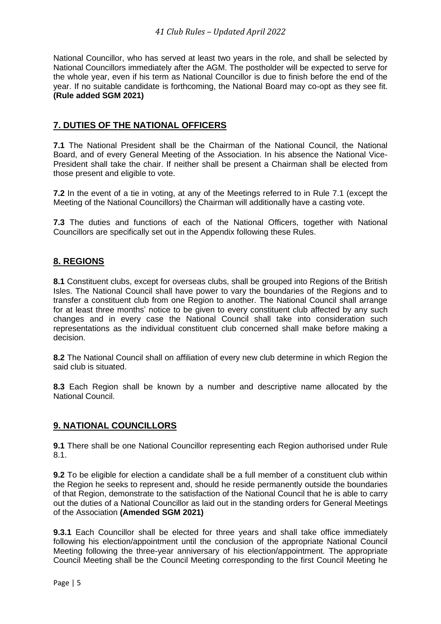National Councillor, who has served at least two years in the role, and shall be selected by National Councillors immediately after the AGM. The postholder will be expected to serve for the whole year, even if his term as National Councillor is due to finish before the end of the year. If no suitable candidate is forthcoming, the National Board may co-opt as they see fit. **(Rule added SGM 2021)**

# **7. DUTIES OF THE NATIONAL OFFICERS**

**7.1** The National President shall be the Chairman of the National Council, the National Board, and of every General Meeting of the Association. In his absence the National Vice-President shall take the chair. If neither shall be present a Chairman shall be elected from those present and eligible to vote.

**7.2** In the event of a tie in voting, at any of the Meetings referred to in Rule 7.1 (except the Meeting of the National Councillors) the Chairman will additionally have a casting vote.

**7.3** The duties and functions of each of the National Officers, together with National Councillors are specifically set out in the Appendix following these Rules.

# **8. REGIONS**

**8.1** Constituent clubs, except for overseas clubs, shall be grouped into Regions of the British Isles. The National Council shall have power to vary the boundaries of the Regions and to transfer a constituent club from one Region to another. The National Council shall arrange for at least three months' notice to be given to every constituent club affected by any such changes and in every case the National Council shall take into consideration such representations as the individual constituent club concerned shall make before making a decision.

**8.2** The National Council shall on affiliation of every new club determine in which Region the said club is situated.

**8.3** Each Region shall be known by a number and descriptive name allocated by the National Council.

## **9. NATIONAL COUNCILLORS**

**9.1** There shall be one National Councillor representing each Region authorised under Rule 8.1.

**9.2** To be eligible for election a candidate shall be a full member of a constituent club within the Region he seeks to represent and, should he reside permanently outside the boundaries of that Region, demonstrate to the satisfaction of the National Council that he is able to carry out the duties of a National Councillor as laid out in the standing orders for General Meetings of the Association **(Amended SGM 2021)**

**9.3.1** Each Councillor shall be elected for three years and shall take office immediately following his election/appointment until the conclusion of the appropriate National Council Meeting following the three-year anniversary of his election/appointment. The appropriate Council Meeting shall be the Council Meeting corresponding to the first Council Meeting he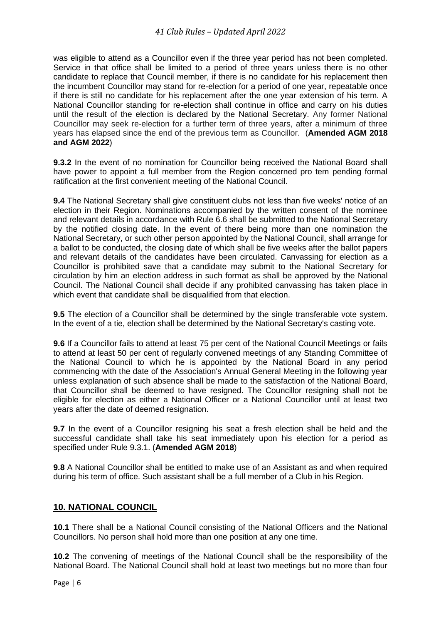was eligible to attend as a Councillor even if the three year period has not been completed. Service in that office shall be limited to a period of three years unless there is no other candidate to replace that Council member, if there is no candidate for his replacement then the incumbent Councillor may stand for re-election for a period of one year, repeatable once if there is still no candidate for his replacement after the one year extension of his term. A National Councillor standing for re-election shall continue in office and carry on his duties until the result of the election is declared by the National Secretary. Any former National Councillor may seek re-election for a further term of three years, after a minimum of three years has elapsed since the end of the previous term as Councillor. (**Amended AGM 2018 and AGM 2022**)

**9.3.2** In the event of no nomination for Councillor being received the National Board shall have power to appoint a full member from the Region concerned pro tem pending formal ratification at the first convenient meeting of the National Council.

**9.4** The National Secretary shall give constituent clubs not less than five weeks' notice of an election in their Region. Nominations accompanied by the written consent of the nominee and relevant details in accordance with Rule 6.6 shall be submitted to the National Secretary by the notified closing date. In the event of there being more than one nomination the National Secretary, or such other person appointed by the National Council, shall arrange for a ballot to be conducted, the closing date of which shall be five weeks after the ballot papers and relevant details of the candidates have been circulated. Canvassing for election as a Councillor is prohibited save that a candidate may submit to the National Secretary for circulation by him an election address in such format as shall be approved by the National Council. The National Council shall decide if any prohibited canvassing has taken place in which event that candidate shall be disqualified from that election.

**9.5** The election of a Councillor shall be determined by the single transferable vote system. In the event of a tie, election shall be determined by the National Secretary's casting vote.

**9.6** If a Councillor fails to attend at least 75 per cent of the National Council Meetings or fails to attend at least 50 per cent of regularly convened meetings of any Standing Committee of the National Council to which he is appointed by the National Board in any period commencing with the date of the Association's Annual General Meeting in the following year unless explanation of such absence shall be made to the satisfaction of the National Board, that Councillor shall be deemed to have resigned. The Councillor resigning shall not be eligible for election as either a National Officer or a National Councillor until at least two years after the date of deemed resignation.

**9.7** In the event of a Councillor resigning his seat a fresh election shall be held and the successful candidate shall take his seat immediately upon his election for a period as specified under Rule 9.3.1. (**Amended AGM 2018**)

**9.8** A National Councillor shall be entitled to make use of an Assistant as and when required during his term of office. Such assistant shall be a full member of a Club in his Region.

## **10. NATIONAL COUNCIL**

**10.1** There shall be a National Council consisting of the National Officers and the National Councillors. No person shall hold more than one position at any one time.

**10.2** The convening of meetings of the National Council shall be the responsibility of the National Board. The National Council shall hold at least two meetings but no more than four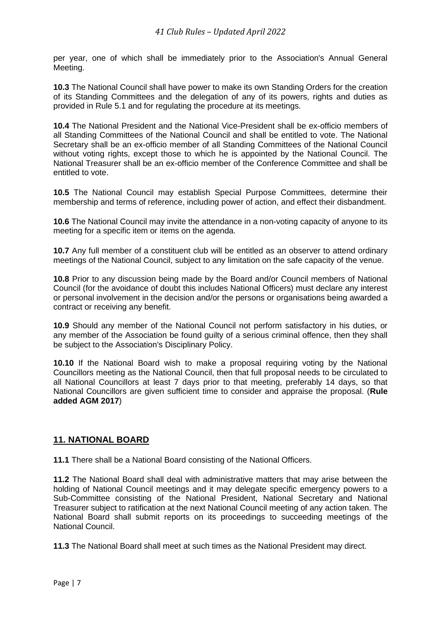per year, one of which shall be immediately prior to the Association's Annual General Meeting.

**10.3** The National Council shall have power to make its own Standing Orders for the creation of its Standing Committees and the delegation of any of its powers, rights and duties as provided in Rule 5.1 and for regulating the procedure at its meetings.

**10.4** The National President and the National Vice-President shall be ex-officio members of all Standing Committees of the National Council and shall be entitled to vote. The National Secretary shall be an ex-officio member of all Standing Committees of the National Council without voting rights, except those to which he is appointed by the National Council. The National Treasurer shall be an ex-officio member of the Conference Committee and shall be entitled to vote.

**10.5** The National Council may establish Special Purpose Committees, determine their membership and terms of reference, including power of action, and effect their disbandment.

**10.6** The National Council may invite the attendance in a non-voting capacity of anyone to its meeting for a specific item or items on the agenda.

**10.7** Any full member of a constituent club will be entitled as an observer to attend ordinary meetings of the National Council, subject to any limitation on the safe capacity of the venue.

**10.8** Prior to any discussion being made by the Board and/or Council members of National Council (for the avoidance of doubt this includes National Officers) must declare any interest or personal involvement in the decision and/or the persons or organisations being awarded a contract or receiving any benefit.

**10.9** Should any member of the National Council not perform satisfactory in his duties, or any member of the Association be found guilty of a serious criminal offence, then they shall be subject to the Association's Disciplinary Policy.

**10.10** If the National Board wish to make a proposal requiring voting by the National Councillors meeting as the National Council, then that full proposal needs to be circulated to all National Councillors at least 7 days prior to that meeting, preferably 14 days, so that National Councillors are given sufficient time to consider and appraise the proposal. (**Rule added AGM 2017**)

# **11. NATIONAL BOARD**

**11.1** There shall be a National Board consisting of the National Officers.

**11.2** The National Board shall deal with administrative matters that may arise between the holding of National Council meetings and it may delegate specific emergency powers to a Sub-Committee consisting of the National President, National Secretary and National Treasurer subject to ratification at the next National Council meeting of any action taken. The National Board shall submit reports on its proceedings to succeeding meetings of the National Council.

**11.3** The National Board shall meet at such times as the National President may direct.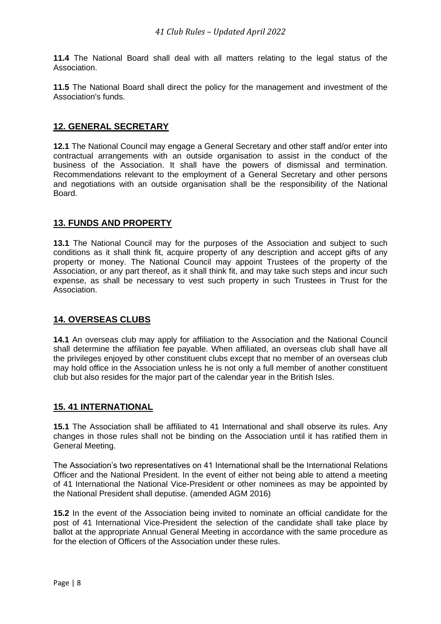**11.4** The National Board shall deal with all matters relating to the legal status of the Association.

**11.5** The National Board shall direct the policy for the management and investment of the Association's funds.

## **12. GENERAL SECRETARY**

**12.1** The National Council may engage a General Secretary and other staff and/or enter into contractual arrangements with an outside organisation to assist in the conduct of the business of the Association. It shall have the powers of dismissal and termination. Recommendations relevant to the employment of a General Secretary and other persons and negotiations with an outside organisation shall be the responsibility of the National Board.

## **13. FUNDS AND PROPERTY**

**13.1** The National Council may for the purposes of the Association and subject to such conditions as it shall think fit, acquire property of any description and accept gifts of any property or money. The National Council may appoint Trustees of the property of the Association, or any part thereof, as it shall think fit, and may take such steps and incur such expense, as shall be necessary to vest such property in such Trustees in Trust for the Association.

## **14. OVERSEAS CLUBS**

**14.1** An overseas club may apply for affiliation to the Association and the National Council shall determine the affiliation fee payable. When affiliated, an overseas club shall have all the privileges enjoyed by other constituent clubs except that no member of an overseas club may hold office in the Association unless he is not only a full member of another constituent club but also resides for the major part of the calendar year in the British Isles.

## **15. 41 INTERNATIONAL**

**15.1** The Association shall be affiliated to 41 International and shall observe its rules. Any changes in those rules shall not be binding on the Association until it has ratified them in General Meeting.

The Association's two representatives on 41 International shall be the International Relations Officer and the National President. In the event of either not being able to attend a meeting of 41 International the National Vice-President or other nominees as may be appointed by the National President shall deputise. (amended AGM 2016)

**15.2** In the event of the Association being invited to nominate an official candidate for the post of 41 International Vice-President the selection of the candidate shall take place by ballot at the appropriate Annual General Meeting in accordance with the same procedure as for the election of Officers of the Association under these rules.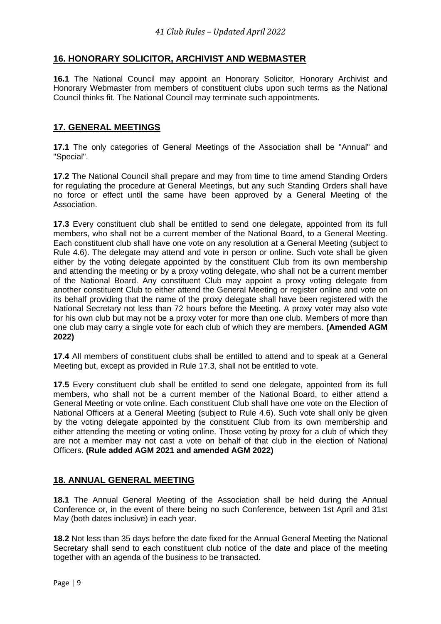# **16. HONORARY SOLICITOR, ARCHIVIST AND WEBMASTER**

**16.1** The National Council may appoint an Honorary Solicitor, Honorary Archivist and Honorary Webmaster from members of constituent clubs upon such terms as the National Council thinks fit. The National Council may terminate such appointments.

## **17. GENERAL MEETINGS**

**17.1** The only categories of General Meetings of the Association shall be "Annual" and "Special".

**17.2** The National Council shall prepare and may from time to time amend Standing Orders for regulating the procedure at General Meetings, but any such Standing Orders shall have no force or effect until the same have been approved by a General Meeting of the Association.

**17.3** Every constituent club shall be entitled to send one delegate, appointed from its full members, who shall not be a current member of the National Board, to a General Meeting. Each constituent club shall have one vote on any resolution at a General Meeting (subject to Rule 4.6). The delegate may attend and vote in person or online. Such vote shall be given either by the voting delegate appointed by the constituent Club from its own membership and attending the meeting or by a proxy voting delegate, who shall not be a current member of the National Board. Any constituent Club may appoint a proxy voting delegate from another constituent Club to either attend the General Meeting or register online and vote on its behalf providing that the name of the proxy delegate shall have been registered with the National Secretary not less than 72 hours before the Meeting. A proxy voter may also vote for his own club but may not be a proxy voter for more than one club. Members of more than one club may carry a single vote for each club of which they are members. **(Amended AGM 2022)**

**17.4** All members of constituent clubs shall be entitled to attend and to speak at a General Meeting but, except as provided in Rule 17.3, shall not be entitled to vote.

**17.5** Every constituent club shall be entitled to send one delegate, appointed from its full members, who shall not be a current member of the National Board, to either attend a General Meeting or vote online. Each constituent Club shall have one vote on the Election of National Officers at a General Meeting (subject to Rule 4.6). Such vote shall only be given by the voting delegate appointed by the constituent Club from its own membership and either attending the meeting or voting online. Those voting by proxy for a club of which they are not a member may not cast a vote on behalf of that club in the election of National Officers. **(Rule added AGM 2021 and amended AGM 2022)**

#### **18. ANNUAL GENERAL MEETING**

**18.1** The Annual General Meeting of the Association shall be held during the Annual Conference or, in the event of there being no such Conference, between 1st April and 31st May (both dates inclusive) in each year.

**18.2** Not less than 35 days before the date fixed for the Annual General Meeting the National Secretary shall send to each constituent club notice of the date and place of the meeting together with an agenda of the business to be transacted.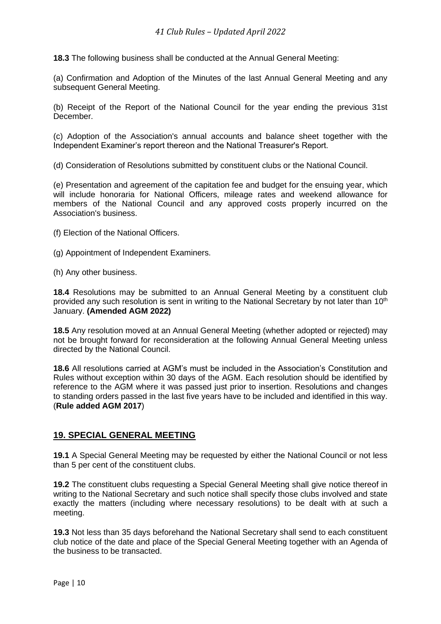**18.3** The following business shall be conducted at the Annual General Meeting:

(a) Confirmation and Adoption of the Minutes of the last Annual General Meeting and any subsequent General Meeting.

(b) Receipt of the Report of the National Council for the year ending the previous 31st December.

(c) Adoption of the Association's annual accounts and balance sheet together with the Independent Examiner's report thereon and the National Treasurer's Report.

(d) Consideration of Resolutions submitted by constituent clubs or the National Council.

(e) Presentation and agreement of the capitation fee and budget for the ensuing year, which will include honoraria for National Officers, mileage rates and weekend allowance for members of the National Council and any approved costs properly incurred on the Association's business.

- (f) Election of the National Officers.
- (g) Appointment of Independent Examiners.
- (h) Any other business.

**18.4** Resolutions may be submitted to an Annual General Meeting by a constituent club provided any such resolution is sent in writing to the National Secretary by not later than 10<sup>th</sup> January. **(Amended AGM 2022)**

**18.5** Any resolution moved at an Annual General Meeting (whether adopted or rejected) may not be brought forward for reconsideration at the following Annual General Meeting unless directed by the National Council.

**18.6** All resolutions carried at AGM's must be included in the Association's Constitution and Rules without exception within 30 days of the AGM. Each resolution should be identified by reference to the AGM where it was passed just prior to insertion. Resolutions and changes to standing orders passed in the last five years have to be included and identified in this way. (**Rule added AGM 2017**)

## **19. SPECIAL GENERAL MEETING**

**19.1** A Special General Meeting may be requested by either the National Council or not less than 5 per cent of the constituent clubs.

**19.2** The constituent clubs requesting a Special General Meeting shall give notice thereof in writing to the National Secretary and such notice shall specify those clubs involved and state exactly the matters (including where necessary resolutions) to be dealt with at such a meeting.

**19.3** Not less than 35 days beforehand the National Secretary shall send to each constituent club notice of the date and place of the Special General Meeting together with an Agenda of the business to be transacted.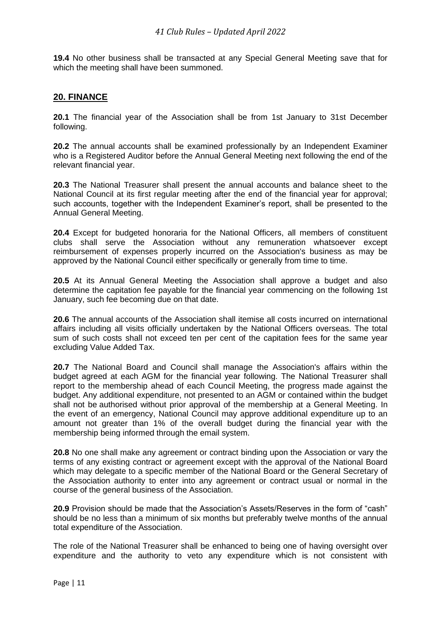**19.4** No other business shall be transacted at any Special General Meeting save that for which the meeting shall have been summoned.

#### **20. FINANCE**

**20.1** The financial year of the Association shall be from 1st January to 31st December following.

**20.2** The annual accounts shall be examined professionally by an Independent Examiner who is a Registered Auditor before the Annual General Meeting next following the end of the relevant financial year.

**20.3** The National Treasurer shall present the annual accounts and balance sheet to the National Council at its first regular meeting after the end of the financial year for approval; such accounts, together with the Independent Examiner's report, shall be presented to the Annual General Meeting.

**20.4** Except for budgeted honoraria for the National Officers, all members of constituent clubs shall serve the Association without any remuneration whatsoever except reimbursement of expenses properly incurred on the Association's business as may be approved by the National Council either specifically or generally from time to time.

**20.5** At its Annual General Meeting the Association shall approve a budget and also determine the capitation fee payable for the financial year commencing on the following 1st January, such fee becoming due on that date.

**20.6** The annual accounts of the Association shall itemise all costs incurred on international affairs including all visits officially undertaken by the National Officers overseas. The total sum of such costs shall not exceed ten per cent of the capitation fees for the same year excluding Value Added Tax.

**20.7** The National Board and Council shall manage the Association's affairs within the budget agreed at each AGM for the financial year following. The National Treasurer shall report to the membership ahead of each Council Meeting, the progress made against the budget. Any additional expenditure, not presented to an AGM or contained within the budget shall not be authorised without prior approval of the membership at a General Meeting. In the event of an emergency, National Council may approve additional expenditure up to an amount not greater than 1% of the overall budget during the financial year with the membership being informed through the email system.

**20.8** No one shall make any agreement or contract binding upon the Association or vary the terms of any existing contract or agreement except with the approval of the National Board which may delegate to a specific member of the National Board or the General Secretary of the Association authority to enter into any agreement or contract usual or normal in the course of the general business of the Association.

**20.9** Provision should be made that the Association's Assets/Reserves in the form of "cash" should be no less than a minimum of six months but preferably twelve months of the annual total expenditure of the Association.

The role of the National Treasurer shall be enhanced to being one of having oversight over expenditure and the authority to veto any expenditure which is not consistent with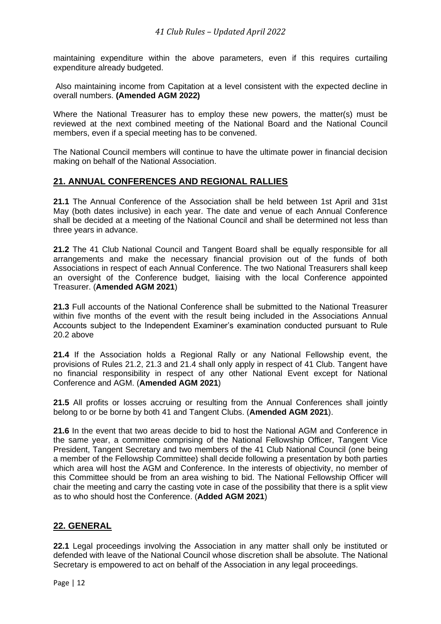maintaining expenditure within the above parameters, even if this requires curtailing expenditure already budgeted.

Also maintaining income from Capitation at a level consistent with the expected decline in overall numbers. **(Amended AGM 2022)**

Where the National Treasurer has to employ these new powers, the matter(s) must be reviewed at the next combined meeting of the National Board and the National Council members, even if a special meeting has to be convened.

The National Council members will continue to have the ultimate power in financial decision making on behalf of the National Association.

## **21. ANNUAL CONFERENCES AND REGIONAL RALLIES**

**21.1** The Annual Conference of the Association shall be held between 1st April and 31st May (both dates inclusive) in each year. The date and venue of each Annual Conference shall be decided at a meeting of the National Council and shall be determined not less than three years in advance.

**21.2** The 41 Club National Council and Tangent Board shall be equally responsible for all arrangements and make the necessary financial provision out of the funds of both Associations in respect of each Annual Conference. The two National Treasurers shall keep an oversight of the Conference budget, liaising with the local Conference appointed Treasurer. (**Amended AGM 2021**)

**21.3** Full accounts of the National Conference shall be submitted to the National Treasurer within five months of the event with the result being included in the Associations Annual Accounts subject to the Independent Examiner's examination conducted pursuant to Rule 20.2 above

**21.4** If the Association holds a Regional Rally or any National Fellowship event, the provisions of Rules 21.2, 21.3 and 21.4 shall only apply in respect of 41 Club. Tangent have no financial responsibility in respect of any other National Event except for National Conference and AGM. (**Amended AGM 2021**)

21.5 All profits or losses accruing or resulting from the Annual Conferences shall jointly belong to or be borne by both 41 and Tangent Clubs. (**Amended AGM 2021**).

**21.6** In the event that two areas decide to bid to host the National AGM and Conference in the same year, a committee comprising of the National Fellowship Officer, Tangent Vice President, Tangent Secretary and two members of the 41 Club National Council (one being a member of the Fellowship Committee) shall decide following a presentation by both parties which area will host the AGM and Conference. In the interests of objectivity, no member of this Committee should be from an area wishing to bid. The National Fellowship Officer will chair the meeting and carry the casting vote in case of the possibility that there is a split view as to who should host the Conference. (**Added AGM 2021**)

## **22. GENERAL**

**22.1** Legal proceedings involving the Association in any matter shall only be instituted or defended with leave of the National Council whose discretion shall be absolute. The National Secretary is empowered to act on behalf of the Association in any legal proceedings.